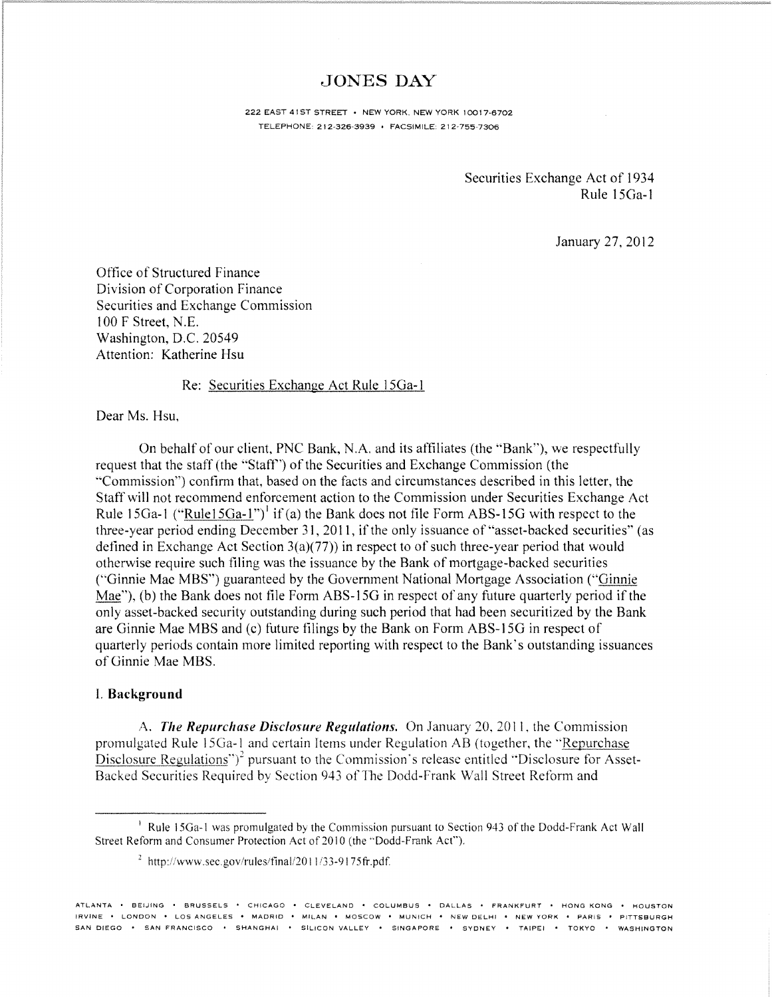## JONES DAY

222 EAST 41ST STREET · NEW YORK, NEW YORK 10017-6702 TELEPHONE: 212-326'3939 • FACSIMILE: 212-755·7306

> Securities Exchange Act of 1934 Rule 15Ga-l

> > January 27. 2012

Office of Structured Finance Division of Corporation Finance Securities and Exchange Commission 100 F Street, N.E. Washington, D.C. 20549 Attention: Katherine Hsu

## Re: Securities Exchange Act Rule ISGa-1

Dear Ms. Hsu.

On behalf of our client. PNC Bank, N.A. and its affiliates (the "Bank"), we respectfully request that the staff (the "Staff') of the Securities and Exchange Commission (the "Commission") confirm that, based on the facts and circumstances described in this letter, the StaffwilI not recommend enforcement action to the Commission under Securities Exchange Act Rule 15Ga-1 ("Rule15Ga-1")<sup>1</sup> if (a) the Bank does not file Form ABS-15G with respect to the three-year period ending December 31, 2011, if the only issuance of "asset-backed securities" (as defined in Exchange Act Section  $3(a)(77)$  in respect to of such three-year period that would otherwise require such filing was the issuance by the Bank of mortgage-backed securities ("Ginnie Mae MBS") guaranteed by the Government National Mortgage Association ("Ginnie") Mae"), (b) the Bank does not file Form ABS-15G in respect of any future quarterly period if the only asset-backed security outstanding during such period that had been securitized by the Bank are Ginnie Mae MBS and (c) future filings by the Bank on Form ABS-15G in respect of quarterly periods contain more limited reporting with respect to the Bank's outstanding issuances of Ginnie Mae MBS.

## I. Background

A. *The Repurchase Disclosure Regulations.* On January 20, 2011, the Commission promulgated Rule 1SGa-\ and certain Items under Regulation AB (together, the "Repurchase Disclosure Regulations")<sup>2</sup> pursuant to the Commission's release entitled "Disclosure for Asset-Backed Securities Required by Section 943 of The Dodd-Frank Wall Street Reform and

<sup>&</sup>lt;sup>1</sup> Rule 15Ga-1 was promulgated by the Commission pursuant to Section 943 of the Dodd-Frank Act Wall Street Reform and Consumer Protection Act of 2010 (the "Dodd-Frank Act").

 $^{2}$  http://www.sec.gov/rules/final/2011/33-9175fr.pdf.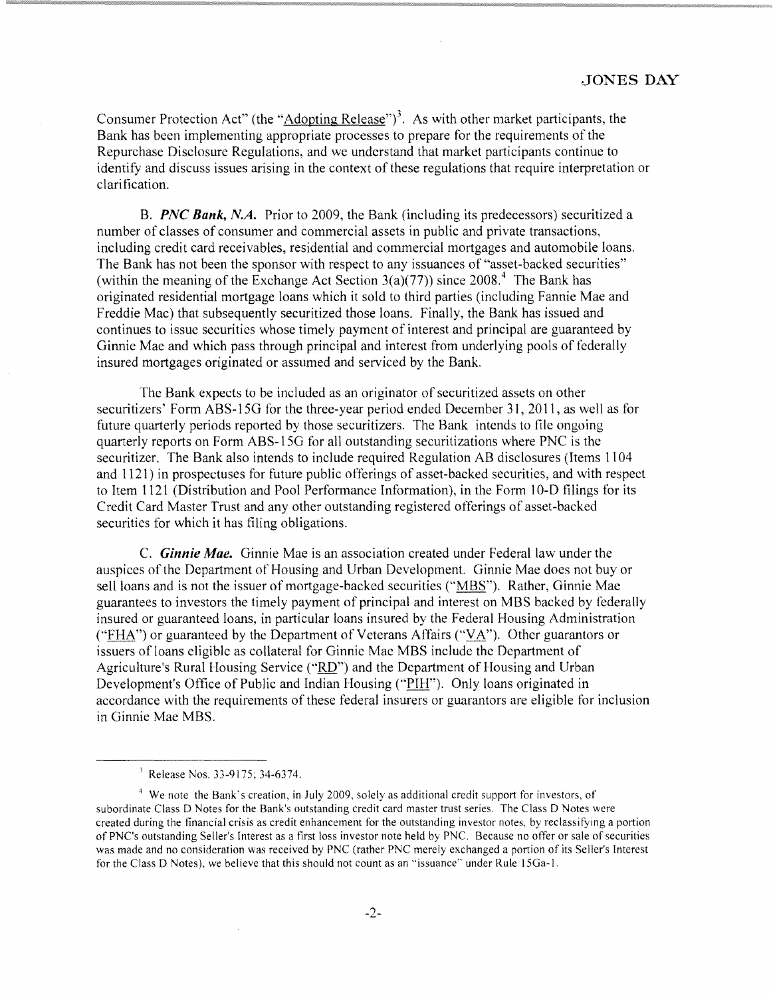Consumer Protection Act" (the "Adopting Release")<sup>3</sup>. As with other market participants, the Bank has been implementing appropriate processes to prepare for the requirements of the Repurchase Disclosure Regulations, and we understand that market participants continue to identify and discuss issues arising in the context of these regulations that require interpretation or clarification.

B. *PNC Bank, N.A.* Prior to 2009, the Bank (including its predecessors) securitized a number of classes of consumer and commercial assets in public and private transactions, including credit card receivables, residential and commercial mortgages and automobile loans. The Bank has not been the sponsor with respect to any issuances of "asset-backed securities" (within the meaning of the Exchange Act Section  $3(a)(77)$ ) since  $2008<sup>4</sup>$ . The Bank has originated residential mortgage loans which it sold to third parties (including Fannie Mae and Freddie Mac) that subsequently securitized those loans. Finally, the Bank has issued and continues to issue securities whose timely payment of interest and principal are guaranteed by Ginnie Mae and which pass through principal and interest from underlying pools of federally insured mortgages originated or assumed and serviced by the Bank.

The Bank expects to be included as an originator of securitized assets on other securitizers' Form ABS-15G for the three-year period ended December 31, 2011, as well as for future quarterly periods reported by those securitizers. The Bank intends to file ongoing quarterly reports on Form ABS-ISG for all outstanding securitizations where PNC is the securitizer. The Bank also intends to include required Regulation AB disclosures (Items 1104 and 1121) in prospectuses for future public offerings of asset-backed securities, and with respect to Item 1121 (Distribution and Pool Performance Information), in the Form 10-0 filings for its Credit Card Master Trust and any other outstanding registered otferings of asset-backed securities for which it has filing obligations.

C. *Ginnie Mae.* Ginnie Mae is an association created under Federal law under the auspices of the Department of Housing and Urban Development. Ginnie Mae does not buy or sell loans and is not the issuer of mortgage-backed securities ("MBS"). Rather, Ginnie Mae guarantees to investors the timely payment of principal and interest on MBS backed by federally insured or guaranteed loans, in particular loans insured by the Federal Housing Administration ("FHA") or guaranteed by the Department of Veterans Affairs ("VA"). Other guarantors or issuers of loans eligible as collateral for Ginnie Mae MBS include the Department of Agriculture's Rural Housing Service ("RD") and the Department of Housing and Urban Development's Office of Public and Indian Housing ("PIH"). Only loans originated in accordance with the requirements of these federal insurers or guarantors are eligible for inclusion in Ginnie Mae MBS.

<sup>}</sup> Release Nos. 33-9175; 34-6374.

<sup>4</sup> We note the Bank's creation, in July 2009, solely as additional credit support for investors, of subordinate Class 0 Notes for the Bank's outstanding credit card master trust series. The Class D Notes were created during the financial crisis as credit enhancement for the outstanding investor notes, by reclassifying a portion of PNC's outstanding Seller's Interest as a first loss investor note held by PNC. Because no otfer or sale of securities was made and no consideration was received by PNC (rather PNC merely exchanged a portion of its Seller's Interest for the Class 0 Notes), we believe that this should not count as an "issuance" under Rule 15Ga-l.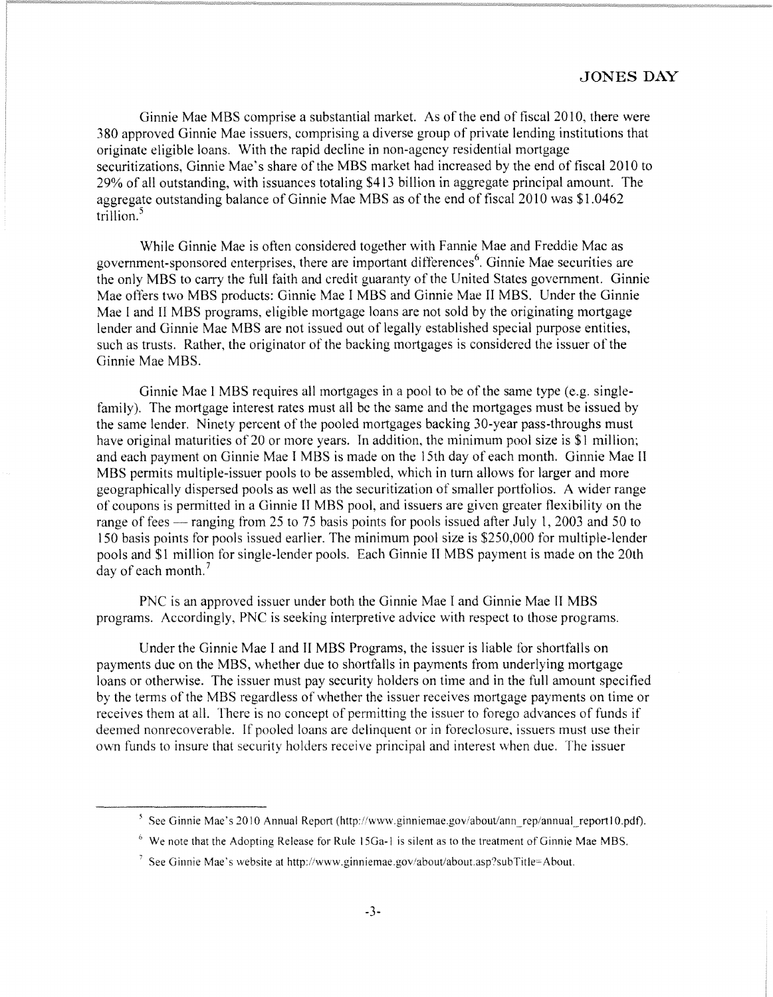Ginnie Mae MBS comprise a substantial market. As of the end of fiscal 2010, there were 380 approved Ginnie Mae issuers, comprising a diverse group of private lending institutions that originate eligible loans. With the rapid decline in non-agency residential mortgage securitizations, Ginnie Mae's share of the MBS market had increased by the end of fiscal 2010 to 29% of all outstanding, with issuances totaling \$413 billion in aggregate principal amount. The aggregate outstanding balance of Ginnie Mae MBS as of the end of fiscal 2010 was \$1.0462 trillion.<sup>5</sup>

While Ginnie Mae is often considered together with Fannie Mae and Freddie Mac as government-sponsored enterprises, there are important differences<sup>6</sup>. Ginnie Mae securities are the only MBS to carry the full faith and credit guaranty of the United States government. Ginnie Mae offers two MBS products: Ginnie Mae I MBS and Ginnie Mae II MBS. Under the Ginnie Mae I and II MBS programs, eligible mortgage loans are not sold by the originating mortgage lender and Ginnie Mae MBS are not issued out of legally established special purpose entities, such as trusts. Rather, the originator of the backing mortgages is considered the issuer of the Ginnie Mae MBS.

Ginnie Mae I MBS requires all mortgages in a pool to be of the same type (e.g. singlefamily). The mortgage interest rates must all be the same and the mortgages must be issued by the same lender. Ninety percent of the pooled mortgages backing 30-year pass-throughs must have original maturities of 20 or more years. In addition, the minimum pool size is \$1 million; and each payment on Ginnie Mae I MBS is made on the 15th day of each month. Ginnie Mae II MBS permits multiple-issuer pools to be assembled, which in tum allows for larger and more geographically dispersed pools as well as the securitization of smaller portfolios. A wider range of coupons is permitted in a Ginnie II MBS pool, and issuers are given greater flexibility on the range of fees — ranging from 25 to 75 basis points for pools issued after July 1, 2003 and 50 to 150 basis points for pools issued earlier. The minimum pool size is \$250,000 for multiple-lender pools and \$1 million for single-lender pools. Each Ginnie II MBS payment is made on the 20th day of each month.<sup>7</sup>

PNC is an approved issuer under both the Ginnie Mae I and Ginnie Mae II MBS programs. Accordingly, PNC is seeking interpretive advice with respect to those programs.

Under the Ginnie Mae I and II MBS Programs, the issuer is liable for shortfalls on payments due on the MBS, whether due to shortfalls in payments from underlying mortgage loans or otherwise. The issuer must pay security holders on time and in the full amount specified by the terms of the MBS regardless of whether the issuer receives mortgage payments on time or receives them at all. There is no concept of permitting the issuer to forego advances of funds if deemed nonrecoverable. If pooled loans are delinquent or in foreclosure, issuers must use their own funds to insure that security holders receive principal and interest when due. The issuer

 $\frac{1}{2}$ See Ginnie Mae's 2010 Annual Report (http://www.ginniemae.gov/about/ann\_rep/annual\_report10.pdf).

 $<sup>6</sup>$  We note that the Adopting Release for Rule 15Ga-1 is silent as to the treatment of Ginnie Mae MBS.</sup>

<sup>&</sup>lt;sup>7</sup> See Ginnie Mae's website at http://www.ginniemae.gov/about/about.asp?subTitle=About.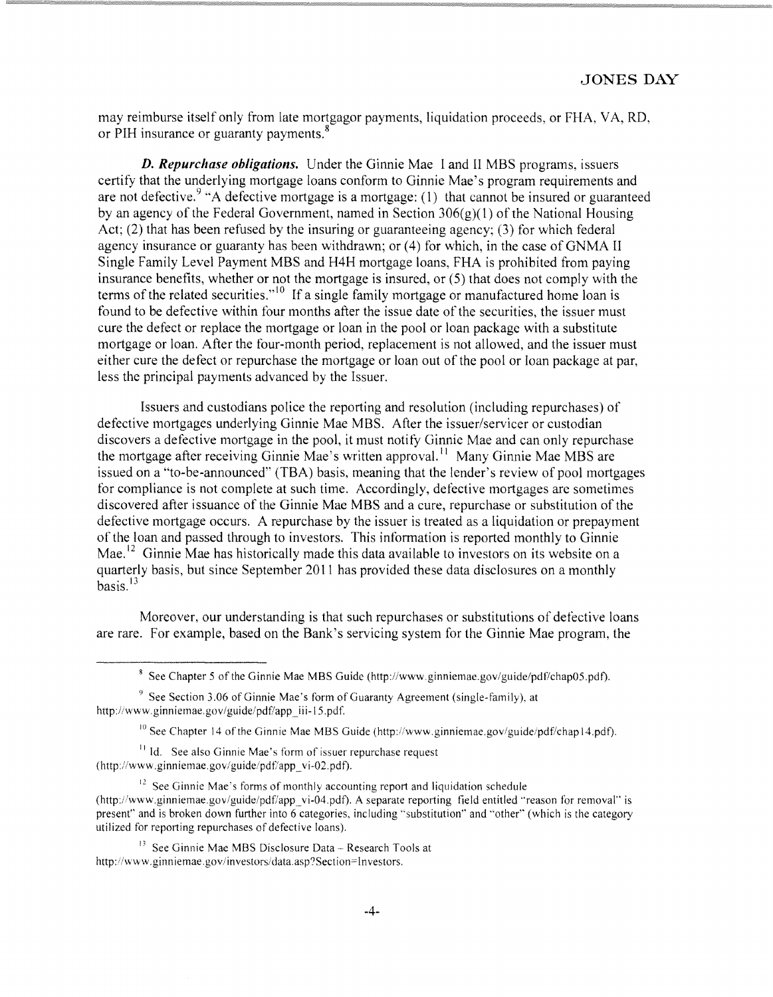may reimburse itself only from late mortgagor payments, liquidation proceeds, or FHA, V A, RD, or PIH insurance or guaranty payments.<sup>8</sup>

*D. Repurchase obligations.* Under the Ginnie Mae 1 and II MBS programs, issuers certify that the underlying mortgage loans conform to Ginnie Mae's program requirements and are not defective.  $9$  "A defective mortgage is a mortgage: (1) that cannot be insured or guaranteed by an agency of the Federal Government, named in Section  $306(g)(1)$  of the National Housing Act; (2) that has been refused by the insuring or guaranteeing agency; (3) for which federal agency insurance or guaranty has been withdrawn; or (4) for which, in the case of GNMA II Single Family Level Payment MBS and H4H mortgage loans, FHA is prohibited from paying insurance benefits, whether or not the mortgage is insured, or (5) that does not comply with the terms of the related securities."<sup>10</sup> If a single family mortgage or manufactured home loan is found to be defective within tour months after the issue date of the securities, the issuer must cure the defect or replace the mortgage or loan in the pool or loan package with a substitute mortgage or loan. After the four-month period, replacement is not allowed, and the issuer must either cure the defect or repurchase the mortgage or loan out of the pool or loan package at par, less the principal payments advanced by the Issuer.

Issuers and custodians police the reporting and resolution (including repurchases) of defective mortgages underlying Ginnie Mae MBS. After the issuer/servicer or custodian discovers a detective mortgage in the pool, it must notity Ginnie Mae and can only repurchase the mortgage after receiving Ginnie Mae's written approval.<sup>11</sup> Many Ginnie Mae MBS are issued on a "to-be-announced" (TBA) basis, meaning that the lender's review of pool mortgages for compliance is not complete at such time. Accordingly, defective mortgages are sometimes discovered after issuance of the Ginnie Mae MBS and a cure, repurchase or substitution of the defective mortgage occurs. A repurchase by the issuer is treated as a liquidation or prepayment of the loan and passed through to investors. This information is reported monthly to Ginnie Mae.<sup>12</sup> Ginnie Mae has historically made this data available to investors on its website on a quarterly basis, but since September 2011 has provided these data disclosures on a monthly basis. <sup>13</sup>

Moreover, our understanding is that such repurchases or substitutions of detective loans are rare. For example, based on the Bank's servicing system for the Ginnie Mae program, the

<sup>11</sup> Id. See also Ginnie Mae's form of issuer repurchase request (http://www.ginniemae.gov/guide/pdf/app\_vi-02.pdf).

 $12$  See Ginnie Mae's forms of monthly accounting report and liquidation schedule (http://www.ginniemae.gov/guide/pdf/app\_vi-04.pdf). A separate reporting field entitled "reason for removal" is present" and is broken down further into 6 categories, including "substitution" and "other" (which is the category utilized for reporting repurchases of defective loans).

 $<sup>13</sup>$  See Ginnie Mae MBS Disclosure Data - Research Tools at</sup> http://www.ginniemae.gov/investors/data.asp?Section=Investors.

<sup>&</sup>lt;sup>8</sup> See Chapter 5 of the Ginnie Mae MBS Guide (http://www.ginniemae.gov/guide/pdf/chap05.pdf).

 $9$  See Section 3.06 of Ginnie Mae's form of Guaranty Agreement (single-family), at http://www.ginniemae.gov/guide/pdf/app\_iii-15.pdf.

 $10$  See Chapter 14 of the Ginnie Mae MBS Guide (http://www.ginniemae.gov/guide/pdf/chap14.pdf).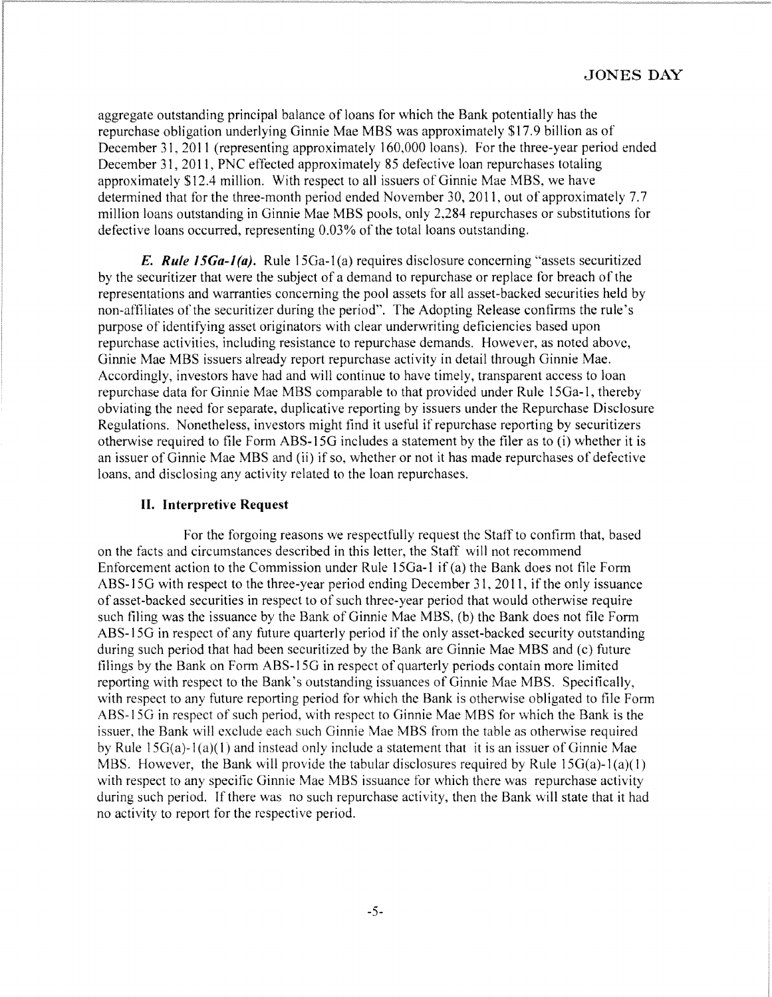aggregate outstanding principal balance of loans for which the Bank potentially has the repurehase obligation underlying Ginnie Mae MBS was approximately \$17.9 billion as of December 31, 2011 (representing approximately 160,000 loans). For the three-year period ended December 31, 2011, PNC effected approximately 85 defective loan repurchases totaling approximately \$12.4 million. With respect to all issuers of Ginnie Mae MBS, we have determined that for the three-month period ended November 30, 2011, out of approximately 7.7 million loans outstanding in Ginnie Mae MBS pools, only 2,284 repurchases or substitutions for defective loans occurred, representing 0.03% of the total loans outstanding.

**E.** Rule 15Ga-1(a). Rule 15Ga-1(a) requires disclosure concerning "assets securitized by the seeuritizer that were the subject of a demand to repurchase or replace for breach of the representations and warranties concerning the pool assets for all asset-backed securities held by non-affiliates of the securitizer during the period". The Adopting Release confirms the rule's purpose of identifying asset originators with clear underwriting deficiencies based upon repurchase activities, including resistance to repurchase demands. However, as noted above, Ginnie Mae MBS issuers already report repurchase activity in detail through Ginnie Mae. Accordingly, investors have had and will continue to have timely, transparent access to loan repurchase data for Ginnie Mae MBS comparable to that provided under Rule 15Ga-l, thereby obviating the need for separate, duplicative reporting by issuers under the Repurchase Disclosure Regulations. Nonetheless, investors might find it useful if repurchase reporting by securitizers otherwise required to file Form ABS-15G includes a statement by the filer as to (i) whether it is an issuer of Ginnie Mae MBS and (ii) if so, whether or not it has made repurchases of defective loans, and disclosing any activity related to the loan repurchases.

## **II. Interpretive Request**

For the forgoing reasons we respectfully request the Staff to confirm that, based on the facts and circumstances described in this letter, the Staff will not recommend Enforcement action to the Commission under Rule 15Ga-l if (a) the Bank does not file Form ABS-15G with respect to the three-year period ending December 31,2011, if the only issuance of asset-backed securities in respect to of such three-year period that would otherwise require such tiling was the issuance by the Bank of Ginnie Mae MBS, (b) the Bank does not file Form ABS-15G in respect of any future quarterly period if the only asset-backed security outstanding during such period that had been securitized by the Bank are Ginnie Mae MBS and (c) future filings by the Bank on Form ABS-I5G in respect of quarterly periods contain more limited reporting with respect to the Bank's outstanding issuances of Ginnie Mae MBS. Specifically, with respect to any future reporting period for which the Bank is otherwise obligated to file Form ABS-I5G in respect of such period, with respect to Ginnie Mae MBS for which the Bank is the issuer, the Bank will exclude each such Ginnie Mae MBS from the table as otherwise required by Rule  $15G(a)-1(a)(1)$  and instead only include a statement that it is an issuer of Ginnie Mae MBS. However, the Bank will provide the tabular disclosures required by Rule  $15G(a)-1(a)(1)$ with respect to any specific Ginnie Mae MBS issuance for which there was repurchase activity during such period. If there was no such repurchase activity, then the Bank will state that it had no activity to report for the respective period.